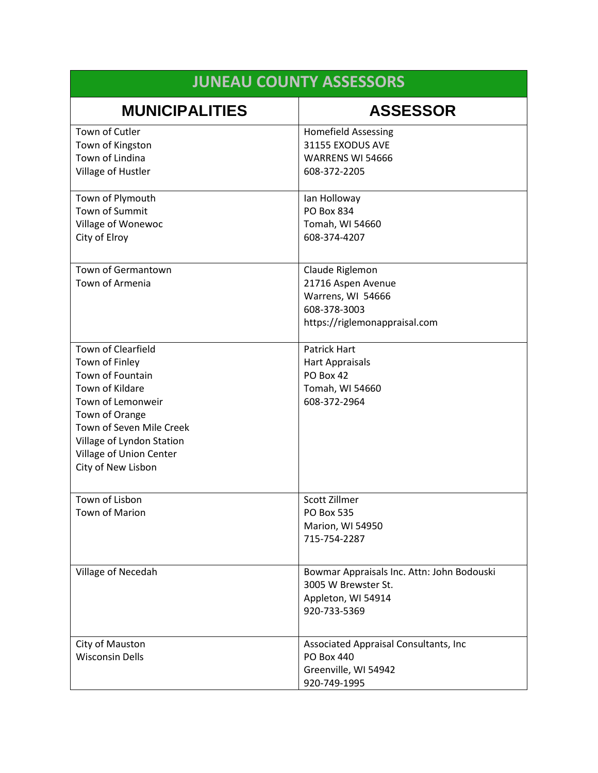| <b>JUNEAU COUNTY ASSESSORS</b>                                                                                                                                                                                               |                                                                                                             |
|------------------------------------------------------------------------------------------------------------------------------------------------------------------------------------------------------------------------------|-------------------------------------------------------------------------------------------------------------|
| <b>MUNICIPALITIES</b>                                                                                                                                                                                                        | <b>ASSESSOR</b>                                                                                             |
| Town of Cutler<br>Town of Kingston<br>Town of Lindina<br>Village of Hustler                                                                                                                                                  | <b>Homefield Assessing</b><br>31155 EXODUS AVE<br>WARRENS WI 54666<br>608-372-2205                          |
| Town of Plymouth<br>Town of Summit<br>Village of Wonewoc<br>City of Elroy                                                                                                                                                    | lan Holloway<br>PO Box 834<br>Tomah, WI 54660<br>608-374-4207                                               |
| <b>Town of Germantown</b><br>Town of Armenia                                                                                                                                                                                 | Claude Riglemon<br>21716 Aspen Avenue<br>Warrens, WI 54666<br>608-378-3003<br>https://riglemonappraisal.com |
| Town of Clearfield<br>Town of Finley<br>Town of Fountain<br>Town of Kildare<br>Town of Lemonweir<br>Town of Orange<br>Town of Seven Mile Creek<br>Village of Lyndon Station<br>Village of Union Center<br>City of New Lisbon | <b>Patrick Hart</b><br><b>Hart Appraisals</b><br>PO Box 42<br>Tomah, WI 54660<br>608-372-2964               |
| Town of Lisbon<br>Town of Marion                                                                                                                                                                                             | Scott Zillmer<br>PO Box 535<br>Marion, WI 54950<br>715-754-2287                                             |
| Village of Necedah                                                                                                                                                                                                           | Bowmar Appraisals Inc. Attn: John Bodouski<br>3005 W Brewster St.<br>Appleton, WI 54914<br>920-733-5369     |
| City of Mauston<br><b>Wisconsin Dells</b>                                                                                                                                                                                    | Associated Appraisal Consultants, Inc.<br>PO Box 440<br>Greenville, WI 54942<br>920-749-1995                |